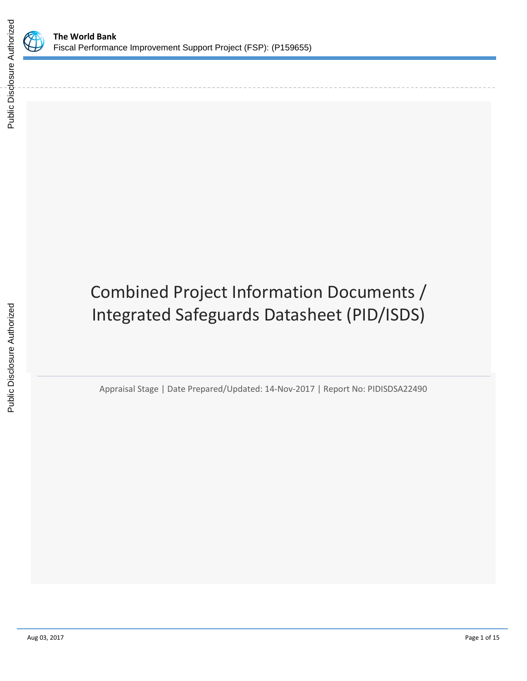



# Combined Project Information Documents / Integrated Safeguards Datasheet (PID/ISDS)

Appraisal Stage | Date Prepared/Updated: 14-Nov-2017 | Report No: PIDISDSA22490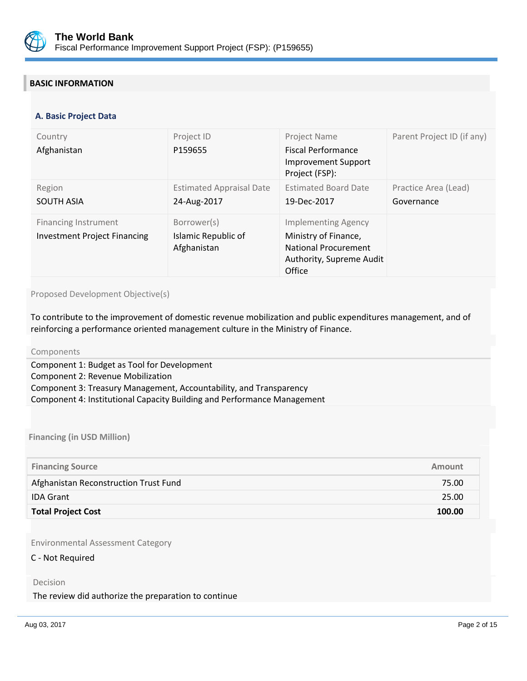

# **BASIC INFORMATION**

#### **OPS\_TABLE\_BASIC\_DATA A. Basic Project Data**

| Country<br>Afghanistan                                             | Project ID<br>P159655                             | Project Name<br><b>Fiscal Performance</b><br><b>Improvement Support</b><br>Project (FSP):                               | Parent Project ID (if any)         |
|--------------------------------------------------------------------|---------------------------------------------------|-------------------------------------------------------------------------------------------------------------------------|------------------------------------|
| Region<br><b>SOUTH ASIA</b>                                        | <b>Estimated Appraisal Date</b><br>24-Aug-2017    | <b>Estimated Board Date</b><br>19-Dec-2017                                                                              | Practice Area (Lead)<br>Governance |
| <b>Financing Instrument</b><br><b>Investment Project Financing</b> | Borrower(s)<br>Islamic Republic of<br>Afghanistan | <b>Implementing Agency</b><br>Ministry of Finance,<br><b>National Procurement</b><br>Authority, Supreme Audit<br>Office |                                    |

#### Proposed Development Objective(s)

To contribute to the improvement of domestic revenue mobilization and public expenditures management, and of reinforcing a performance oriented management culture in the Ministry of Finance.

#### Components

Component 1: Budget as Tool for Development Component 2: Revenue Mobilization Component 3: Treasury Management, Accountability, and Transparency Component 4: Institutional Capacity Building and Performance Management

**Financing (in USD Million)**

| <b>Financing Source</b>               | Amount |
|---------------------------------------|--------|
| Afghanistan Reconstruction Trust Fund | 75.00  |
| <b>IDA Grant</b>                      | 25.00  |
| <b>Total Project Cost</b>             | 100.00 |

Environmental Assessment Category

#### C - Not Required

Decision

#### The review did authorize the preparation to continue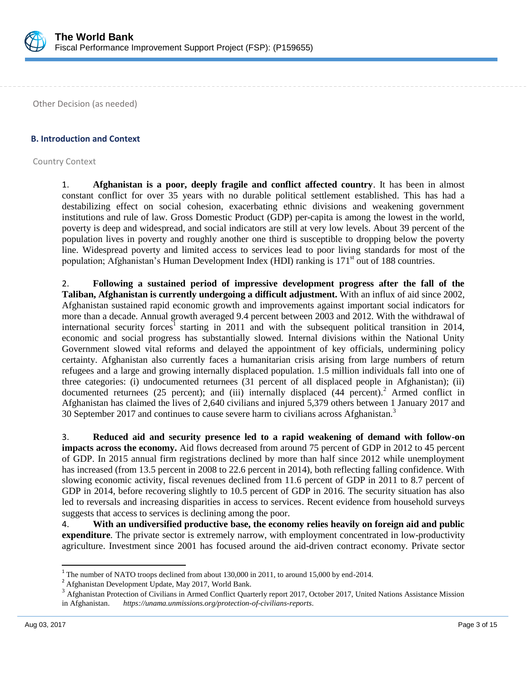

Other Decision (as needed)

### **B. Introduction and Context**

Country Context

1. **Afghanistan is a poor, deeply fragile and conflict affected country**. It has been in almost constant conflict for over 35 years with no durable political settlement established. This has had a destabilizing effect on social cohesion, exacerbating ethnic divisions and weakening government institutions and rule of law. Gross Domestic Product (GDP) per-capita is among the lowest in the world, poverty is deep and widespread, and social indicators are still at very low levels. About 39 percent of the population lives in poverty and roughly another one third is susceptible to dropping below the poverty line. Widespread poverty and limited access to services lead to poor living standards for most of the population; Afghanistan's Human Development Index (HDI) ranking is 171<sup>st</sup> out of 188 countries.

2. **Following a sustained period of impressive development progress after the fall of the Taliban, Afghanistan is currently undergoing a difficult adjustment.** With an influx of aid since 2002, Afghanistan sustained rapid economic growth and improvements against important social indicators for more than a decade. Annual growth averaged 9.4 percent between 2003 and 2012. With the withdrawal of international security forces<sup>1</sup> starting in 2011 and with the subsequent political transition in 2014, economic and social progress has substantially slowed. Internal divisions within the National Unity Government slowed vital reforms and delayed the appointment of key officials, undermining policy certainty. Afghanistan also currently faces a humanitarian crisis arising from large numbers of return refugees and a large and growing internally displaced population. 1.5 million individuals fall into one of three categories: (i) undocumented returnees (31 percent of all displaced people in Afghanistan); (ii) documented returnees (25 percent); and (iii) internally displaced (44 percent).<sup>2</sup> Armed conflict in Afghanistan has claimed the lives of 2,640 civilians and injured 5,379 others between 1 January 2017 and 30 September 2017 and continues to cause severe harm to civilians across Afghanistan.<sup>3</sup>

3. **Reduced aid and security presence led to a rapid weakening of demand with follow-on impacts across the economy.** Aid flows decreased from around 75 percent of GDP in 2012 to 45 percent of GDP. In 2015 annual firm registrations declined by more than half since 2012 while unemployment has increased (from 13.5 percent in 2008 to 22.6 percent in 2014), both reflecting falling confidence. With slowing economic activity, fiscal revenues declined from 11.6 percent of GDP in 2011 to 8.7 percent of GDP in 2014, before recovering slightly to 10.5 percent of GDP in 2016. The security situation has also led to reversals and increasing disparities in access to services. Recent evidence from household surveys suggests that access to services is declining among the poor.

4. **With an undiversified productive base, the economy relies heavily on foreign aid and public expenditure**. The private sector is extremely narrow, with employment concentrated in low-productivity agriculture. Investment since 2001 has focused around the aid-driven contract economy. Private sector

 $\overline{\phantom{a}}$ 

<sup>&</sup>lt;sup>1</sup> The number of NATO troops declined from about 130,000 in 2011, to around 15,000 by end-2014.

<sup>2</sup> Afghanistan Development Update, May 2017, World Bank.

<sup>&</sup>lt;sup>3</sup> Afghanistan Protection of Civilians in Armed Conflict Quarterly report 2017, October 2017, United Nations Assistance Mission in Afghanistan. *<https://unama.unmissions.org/protection-of-civilians-reports>*.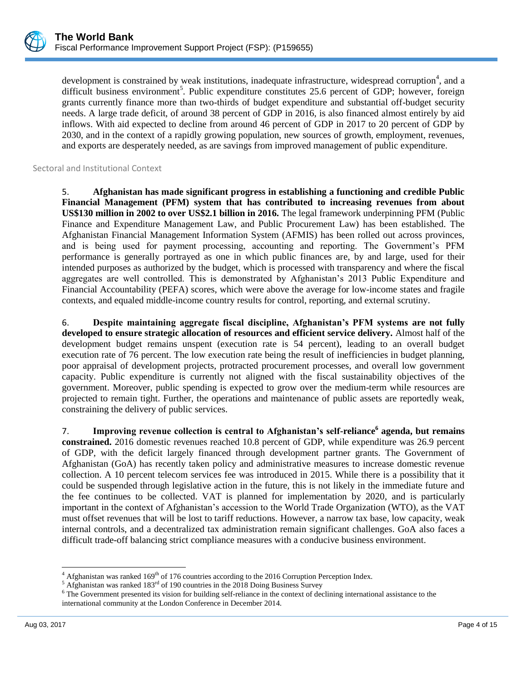development is constrained by weak institutions, inadequate infrastructure, widespread corruption<sup>4</sup>, and a difficult business environment<sup>5</sup>. Public expenditure constitutes 25.6 percent of GDP; however, foreign grants currently finance more than two-thirds of budget expenditure and substantial off-budget security needs. A large trade deficit, of around 38 percent of GDP in 2016, is also financed almost entirely by aid inflows. With aid expected to decline from around 46 percent of GDP in 2017 to 20 percent of GDP by 2030, and in the context of a rapidly growing population, new sources of growth, employment, revenues, and exports are desperately needed, as are savings from improved management of public expenditure.

Sectoral and Institutional Context

5. **Afghanistan has made significant progress in establishing a functioning and credible Public Financial Management (PFM) system that has contributed to increasing revenues from about US\$130 million in 2002 to over US\$2.1 billion in 2016.** The legal framework underpinning PFM (Public Finance and Expenditure Management Law, and Public Procurement Law) has been established. The Afghanistan Financial Management Information System (AFMIS) has been rolled out across provinces, and is being used for payment processing, accounting and reporting. The Government's PFM performance is generally portrayed as one in which public finances are, by and large, used for their intended purposes as authorized by the budget, which is processed with transparency and where the fiscal aggregates are well controlled. This is demonstrated by Afghanistan's 2013 Public Expenditure and Financial Accountability (PEFA) scores, which were above the average for low-income states and fragile contexts, and equaled middle-income country results for control, reporting, and external scrutiny.

6. **Despite maintaining aggregate fiscal discipline, Afghanistan's PFM systems are not fully developed to ensure strategic allocation of resources and efficient service delivery.** Almost half of the development budget remains unspent (execution rate is 54 percent), leading to an overall budget execution rate of 76 percent. The low execution rate being the result of inefficiencies in budget planning, poor appraisal of development projects, protracted procurement processes, and overall low government capacity. Public expenditure is currently not aligned with the fiscal sustainability objectives of the government. Moreover, public spending is expected to grow over the medium-term while resources are projected to remain tight. Further, the operations and maintenance of public assets are reportedly weak, constraining the delivery of public services.

7. **Improving revenue collection is central to Afghanistan's self-reliance<sup>6</sup> agenda, but remains constrained.** 2016 domestic revenues reached 10.8 percent of GDP, while expenditure was 26.9 percent of GDP, with the deficit largely financed through development partner grants. The Government of Afghanistan (GoA) has recently taken policy and administrative measures to increase domestic revenue collection. A 10 percent telecom services fee was introduced in 2015. While there is a possibility that it could be suspended through legislative action in the future, this is not likely in the immediate future and the fee continues to be collected. VAT is planned for implementation by 2020, and is particularly important in the context of Afghanistan's accession to the World Trade Organization (WTO), as the VAT must offset revenues that will be lost to tariff reductions. However, a narrow tax base, low capacity, weak internal controls, and a decentralized tax administration remain significant challenges. GoA also faces a difficult trade-off balancing strict compliance measures with a conducive business environment.

 $\overline{a}$ 

 $4$  Afghanistan was ranked 169<sup>th</sup> of 176 countries according to the 2016 Corruption Perception Index.

<sup>&</sup>lt;sup>5</sup> Afghanistan was ranked 183<sup>rd</sup> of 190 countries in the 2018 Doing Business Survey

<sup>&</sup>lt;sup>6</sup> The Government presented its vision for building self-reliance in the context of declining international assistance to the international community at the London Conference in December 2014.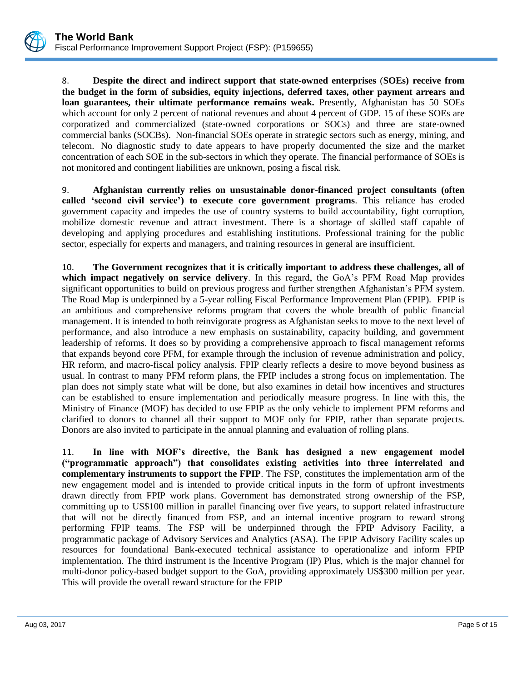8. **Despite the direct and indirect support that state-owned enterprises** (**SOEs) receive from the budget in the form of subsidies, equity injections, deferred taxes, other payment arrears and loan guarantees, their ultimate performance remains weak.** Presently, Afghanistan has 50 SOEs which account for only 2 percent of national revenues and about 4 percent of GDP. 15 of these SOEs are corporatized and commercialized (state-owned corporations or SOCs) and three are state-owned commercial banks (SOCBs). Non-financial SOEs operate in strategic sectors such as energy, mining, and telecom. No diagnostic study to date appears to have properly documented the size and the market concentration of each SOE in the sub-sectors in which they operate. The financial performance of SOEs is not monitored and contingent liabilities are unknown, posing a fiscal risk.

9. **Afghanistan currently relies on unsustainable donor-financed project consultants (often called 'second civil service') to execute core government programs**. This reliance has eroded government capacity and impedes the use of country systems to build accountability, fight corruption, mobilize domestic revenue and attract investment. There is a shortage of skilled staff capable of developing and applying procedures and establishing institutions. Professional training for the public sector, especially for experts and managers, and training resources in general are insufficient.

10. **The Government recognizes that it is critically important to address these challenges, all of which impact negatively on service delivery**. In this regard, the GoA's PFM Road Map provides significant opportunities to build on previous progress and further strengthen Afghanistan's PFM system. The Road Map is underpinned by a 5-year rolling Fiscal Performance Improvement Plan (FPIP). FPIP is an ambitious and comprehensive reforms program that covers the whole breadth of public financial management. It is intended to both reinvigorate progress as Afghanistan seeks to move to the next level of performance, and also introduce a new emphasis on sustainability, capacity building, and government leadership of reforms. It does so by providing a comprehensive approach to fiscal management reforms that expands beyond core PFM, for example through the inclusion of revenue administration and policy, HR reform, and macro-fiscal policy analysis. FPIP clearly reflects a desire to move beyond business as usual. In contrast to many PFM reform plans, the FPIP includes a strong focus on implementation. The plan does not simply state what will be done, but also examines in detail how incentives and structures can be established to ensure implementation and periodically measure progress. In line with this, the Ministry of Finance (MOF) has decided to use FPIP as the only vehicle to implement PFM reforms and clarified to donors to channel all their support to MOF only for FPIP, rather than separate projects. Donors are also invited to participate in the annual planning and evaluation of rolling plans.

11. **In line with MOF's directive, the Bank has designed a new engagement model ("programmatic approach") that consolidates existing activities into three interrelated and complementary instruments to support the FPIP**. The FSP, constitutes the implementation arm of the new engagement model and is intended to provide critical inputs in the form of upfront investments drawn directly from FPIP work plans. Government has demonstrated strong ownership of the FSP, committing up to US\$100 million in parallel financing over five years, to support related infrastructure that will not be directly financed from FSP, and an internal incentive program to reward strong performing FPIP teams. The FSP will be underpinned through the FPIP Advisory Facility, a programmatic package of Advisory Services and Analytics (ASA). The FPIP Advisory Facility scales up resources for foundational Bank-executed technical assistance to operationalize and inform FPIP implementation. The third instrument is the Incentive Program (IP) Plus, which is the major channel for multi-donor policy-based budget support to the GoA, providing approximately US\$300 million per year. This will provide the overall reward structure for the FPIP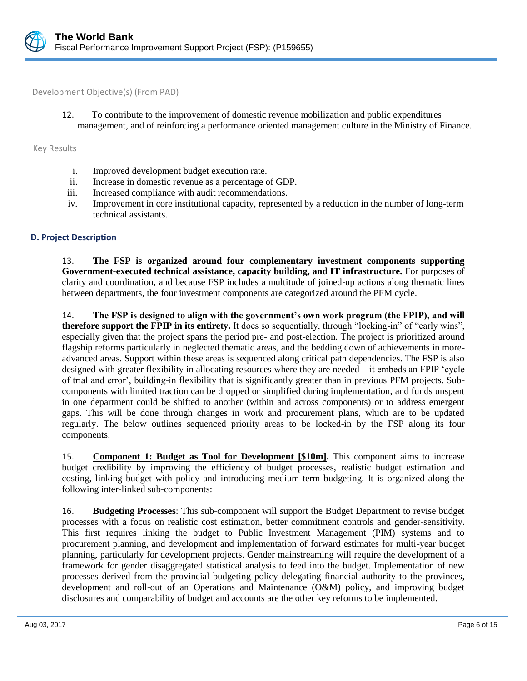

Development Objective(s) (From PAD)

12. To contribute to the improvement of domestic revenue mobilization and public expenditures management, and of reinforcing a performance oriented management culture in the Ministry of Finance.

Key Results

- i. Improved development budget execution rate.
- ii. Increase in domestic revenue as a percentage of GDP.
- iii. Increased compliance with audit recommendations.
- iv. Improvement in core institutional capacity, represented by a reduction in the number of long-term technical assistants.

#### **D. Project Description**

13. **The FSP is organized around four complementary investment components supporting Government-executed technical assistance, capacity building, and IT infrastructure.** For purposes of clarity and coordination, and because FSP includes a multitude of joined-up actions along thematic lines between departments, the four investment components are categorized around the PFM cycle.

14. **The FSP is designed to align with the government's own work program (the FPIP), and will therefore support the FPIP in its entirety.** It does so sequentially, through "locking-in" of "early wins", especially given that the project spans the period pre- and post-election. The project is prioritized around flagship reforms particularly in neglected thematic areas, and the bedding down of achievements in moreadvanced areas. Support within these areas is sequenced along critical path dependencies. The FSP is also designed with greater flexibility in allocating resources where they are needed – it embeds an FPIP 'cycle of trial and error', building-in flexibility that is significantly greater than in previous PFM projects. Subcomponents with limited traction can be dropped or simplified during implementation, and funds unspent in one department could be shifted to another (within and across components) or to address emergent gaps. This will be done through changes in work and procurement plans, which are to be updated regularly. The below outlines sequenced priority areas to be locked-in by the FSP along its four components.

15. **Component 1: Budget as Tool for Development [\$10m].** This component aims to increase budget credibility by improving the efficiency of budget processes, realistic budget estimation and costing, linking budget with policy and introducing medium term budgeting. It is organized along the following inter-linked sub-components:

16. **Budgeting Processes**: This sub-component will support the Budget Department to revise budget processes with a focus on realistic cost estimation, better commitment controls and gender-sensitivity. This first requires linking the budget to Public Investment Management (PIM) systems and to procurement planning, and development and implementation of forward estimates for multi-year budget planning, particularly for development projects. Gender mainstreaming will require the development of a framework for gender disaggregated statistical analysis to feed into the budget. Implementation of new processes derived from the provincial budgeting policy delegating financial authority to the provinces, development and roll-out of an Operations and Maintenance (O&M) policy, and improving budget disclosures and comparability of budget and accounts are the other key reforms to be implemented.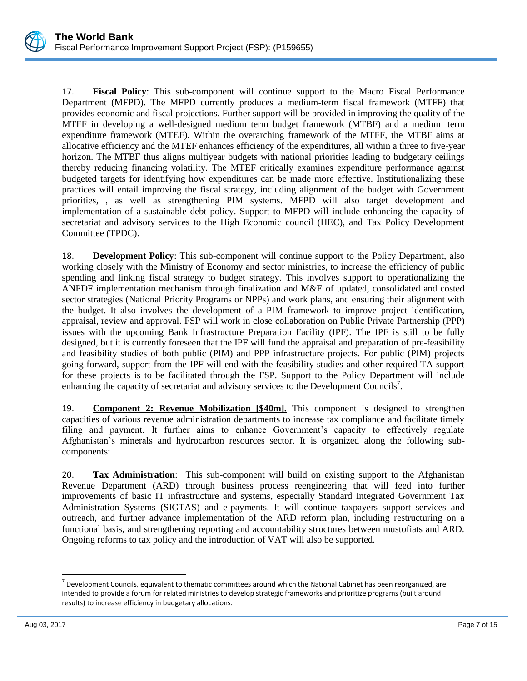17. **Fiscal Policy**: This sub-component will continue support to the Macro Fiscal Performance Department (MFPD). The MFPD currently produces a medium-term fiscal framework (MTFF) that provides economic and fiscal projections. Further support will be provided in improving the quality of the MTFF in developing a well-designed medium term budget framework (MTBF) and a medium term expenditure framework (MTEF). Within the overarching framework of the MTFF, the MTBF aims at allocative efficiency and the MTEF enhances efficiency of the expenditures, all within a three to five-year horizon. The MTBF thus aligns multiyear budgets with national priorities leading to budgetary ceilings thereby reducing financing volatility. The MTEF critically examines expenditure performance against budgeted targets for identifying how expenditures can be made more effective. Institutionalizing these practices will entail improving the fiscal strategy, including alignment of the budget with Government priorities, , as well as strengthening PIM systems. MFPD will also target development and implementation of a sustainable debt policy. Support to MFPD will include enhancing the capacity of secretariat and advisory services to the High Economic council (HEC), and Tax Policy Development Committee (TPDC).

18. **Development Policy**: This sub-component will continue support to the Policy Department, also working closely with the Ministry of Economy and sector ministries, to increase the efficiency of public spending and linking fiscal strategy to budget strategy. This involves support to operationalizing the ANPDF implementation mechanism through finalization and M&E of updated, consolidated and costed sector strategies (National Priority Programs or NPPs) and work plans, and ensuring their alignment with the budget. It also involves the development of a PIM framework to improve project identification, appraisal, review and approval. FSP will work in close collaboration on Public Private Partnership (PPP) issues with the upcoming Bank Infrastructure Preparation Facility (IPF). The IPF is still to be fully designed, but it is currently foreseen that the IPF will fund the appraisal and preparation of pre-feasibility and feasibility studies of both public (PIM) and PPP infrastructure projects. For public (PIM) projects going forward, support from the IPF will end with the feasibility studies and other required TA support for these projects is to be facilitated through the FSP. Support to the Policy Department will include enhancing the capacity of secretariat and advisory services to the Development Councils<sup>7</sup>.

19. **Component 2: Revenue Mobilization [\$40m].** This component is designed to strengthen capacities of various revenue administration departments to increase tax compliance and facilitate timely filing and payment. It further aims to enhance Government's capacity to effectively regulate Afghanistan's minerals and hydrocarbon resources sector. It is organized along the following subcomponents:

20. **Tax Administration**: This sub-component will build on existing support to the Afghanistan Revenue Department (ARD) through business process reengineering that will feed into further improvements of basic IT infrastructure and systems, especially Standard Integrated Government Tax Administration Systems (SIGTAS) and e-payments. It will continue taxpayers support services and outreach, and further advance implementation of the ARD reform plan, including restructuring on a functional basis, and strengthening reporting and accountability structures between mustofiats and ARD. Ongoing reforms to tax policy and the introduction of VAT will also be supported.

 $\overline{\phantom{a}}$ 

 $^7$  Development Councils, equivalent to thematic committees around which the National Cabinet has been reorganized, are intended to provide a forum for related ministries to develop strategic frameworks and prioritize programs (built around results) to increase efficiency in budgetary allocations.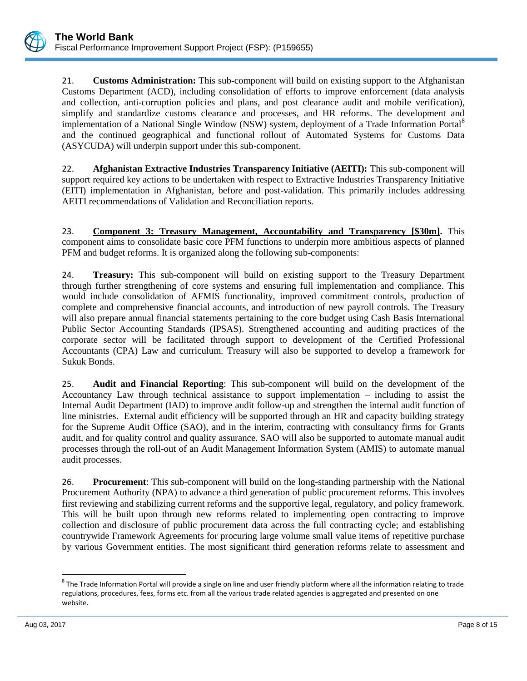21. **Customs Administration:** This sub-component will build on existing support to the Afghanistan Customs Department (ACD), including consolidation of efforts to improve enforcement (data analysis and collection, anti-corruption policies and plans, and post clearance audit and mobile verification), simplify and standardize customs clearance and processes, and HR reforms. The development and implementation of a National Single Window (NSW) system, deployment of a Trade Information Portal<sup>8</sup> and the continued geographical and functional rollout of Automated Systems for Customs Data (ASYCUDA) will underpin support under this sub-component.

22. **Afghanistan Extractive Industries Transparency Initiative (AEITI):** This sub-component will support required key actions to be undertaken with respect to Extractive Industries Transparency Initiative (EITI) implementation in Afghanistan, before and post-validation. This primarily includes addressing AEITI recommendations of Validation and Reconciliation reports.

23. **Component 3: Treasury Management, Accountability and Transparency [\$30m].** This component aims to consolidate basic core PFM functions to underpin more ambitious aspects of planned PFM and budget reforms. It is organized along the following sub-components:

24. **Treasury:** This sub-component will build on existing support to the Treasury Department through further strengthening of core systems and ensuring full implementation and compliance. This would include consolidation of AFMIS functionality, improved commitment controls, production of complete and comprehensive financial accounts, and introduction of new payroll controls. The Treasury will also prepare annual financial statements pertaining to the core budget using Cash Basis International Public Sector Accounting Standards (IPSAS). Strengthened accounting and auditing practices of the corporate sector will be facilitated through support to development of the Certified Professional Accountants (CPA) Law and curriculum. Treasury will also be supported to develop a framework for Sukuk Bonds.

25. **Audit and Financial Reporting**: This sub-component will build on the development of the Accountancy Law through technical assistance to support implementation – including to assist the Internal Audit Department (IAD) to improve audit follow-up and strengthen the internal audit function of line ministries. External audit efficiency will be supported through an HR and capacity building strategy for the Supreme Audit Office (SAO), and in the interim, contracting with consultancy firms for Grants audit, and for quality control and quality assurance. SAO will also be supported to automate manual audit processes through the roll-out of an Audit Management Information System (AMIS) to automate manual audit processes.

26. **Procurement**: This sub-component will build on the long-standing partnership with the National Procurement Authority (NPA) to advance a third generation of public procurement reforms. This involves first reviewing and stabilizing current reforms and the supportive legal, regulatory, and policy framework. This will be built upon through new reforms related to implementing open contracting to improve collection and disclosure of public procurement data across the full contracting cycle; and establishing countrywide Framework Agreements for procuring large volume small value items of repetitive purchase by various Government entities. The most significant third generation reforms relate to assessment and

 $\overline{\phantom{a}}$ 

<sup>&</sup>lt;sup>8</sup> The Trade Information Portal will provide a single on line and user friendly platform where all the information relating to trade regulations, procedures, fees, forms etc. from all the various trade related agencies is aggregated and presented on one website.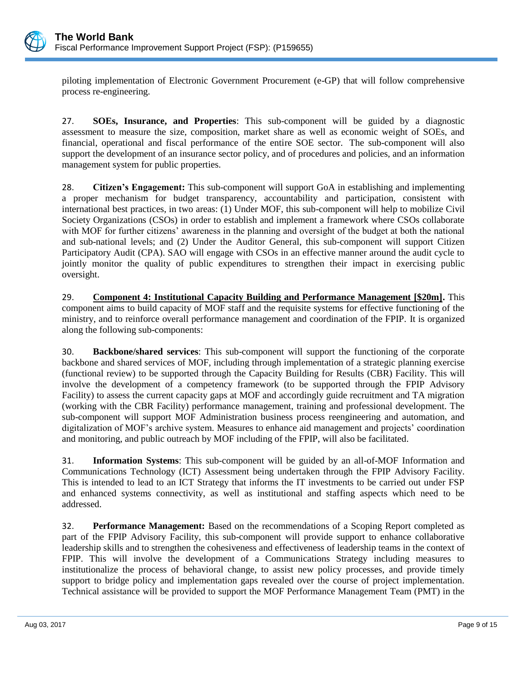

piloting implementation of Electronic Government Procurement (e-GP) that will follow comprehensive process re-engineering.

27. **SOEs, Insurance, and Properties**: This sub-component will be guided by a diagnostic assessment to measure the size, composition, market share as well as economic weight of SOEs, and financial, operational and fiscal performance of the entire SOE sector. The sub-component will also support the development of an insurance sector policy, and of procedures and policies, and an information management system for public properties.

28. **Citizen's Engagement:** This sub-component will support GoA in establishing and implementing a proper mechanism for budget transparency, accountability and participation, consistent with international best practices, in two areas: (1) Under MOF, this sub-component will help to mobilize Civil Society Organizations (CSOs) in order to establish and implement a framework where CSOs collaborate with MOF for further citizens' awareness in the planning and oversight of the budget at both the national and sub-national levels; and (2) Under the Auditor General, this sub-component will support Citizen Participatory Audit (CPA). SAO will engage with CSOs in an effective manner around the audit cycle to jointly monitor the quality of public expenditures to strengthen their impact in exercising public oversight.

29. **Component 4: Institutional Capacity Building and Performance Management [\$20m].** This component aims to build capacity of MOF staff and the requisite systems for effective functioning of the ministry, and to reinforce overall performance management and coordination of the FPIP. It is organized along the following sub-components:

30. **Backbone/shared services**: This sub-component will support the functioning of the corporate backbone and shared services of MOF, including through implementation of a strategic planning exercise (functional review) to be supported through the Capacity Building for Results (CBR) Facility. This will involve the development of a competency framework (to be supported through the FPIP Advisory Facility) to assess the current capacity gaps at MOF and accordingly guide recruitment and TA migration (working with the CBR Facility) performance management, training and professional development. The sub-component will support MOF Administration business process reengineering and automation, and digitalization of MOF's archive system. Measures to enhance aid management and projects' coordination and monitoring, and public outreach by MOF including of the FPIP, will also be facilitated.

31. **Information Systems**: This sub-component will be guided by an all-of-MOF Information and Communications Technology (ICT) Assessment being undertaken through the FPIP Advisory Facility. This is intended to lead to an ICT Strategy that informs the IT investments to be carried out under FSP and enhanced systems connectivity, as well as institutional and staffing aspects which need to be addressed.

32. **Performance Management:** Based on the recommendations of a Scoping Report completed as part of the FPIP Advisory Facility, this sub-component will provide support to enhance collaborative leadership skills and to strengthen the cohesiveness and effectiveness of leadership teams in the context of FPIP. This will involve the development of a Communications Strategy including measures to institutionalize the process of behavioral change, to assist new policy processes, and provide timely support to bridge policy and implementation gaps revealed over the course of project implementation. Technical assistance will be provided to support the MOF Performance Management Team (PMT) in the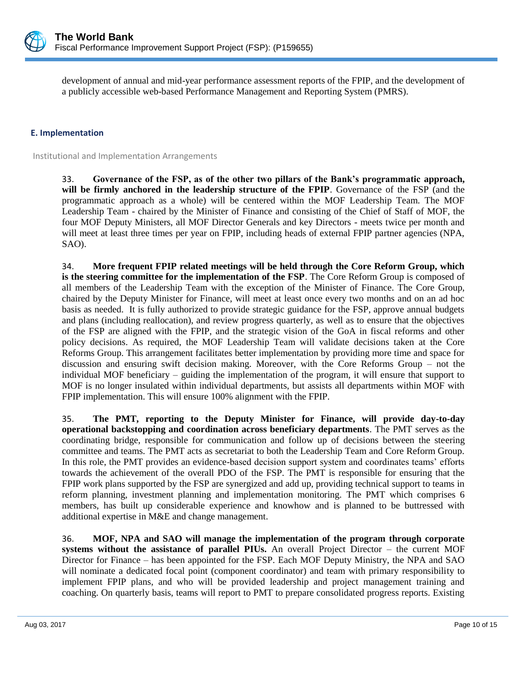

development of annual and mid-year performance assessment reports of the FPIP, and the development of a publicly accessible web-based Performance Management and Reporting System (PMRS).

## **E. Implementation**

Institutional and Implementation Arrangements

33. **Governance of the FSP, as of the other two pillars of the Bank's programmatic approach, will be firmly anchored in the leadership structure of the FPIP**. Governance of the FSP (and the programmatic approach as a whole) will be centered within the MOF Leadership Team. The MOF Leadership Team - chaired by the Minister of Finance and consisting of the Chief of Staff of MOF, the four MOF Deputy Ministers, all MOF Director Generals and key Directors - meets twice per month and will meet at least three times per year on FPIP, including heads of external FPIP partner agencies (NPA, SAO).

34. **More frequent FPIP related meetings will be held through the Core Reform Group, which is the steering committee for the implementation of the FSP**. The Core Reform Group is composed of all members of the Leadership Team with the exception of the Minister of Finance. The Core Group, chaired by the Deputy Minister for Finance, will meet at least once every two months and on an ad hoc basis as needed. It is fully authorized to provide strategic guidance for the FSP, approve annual budgets and plans (including reallocation), and review progress quarterly, as well as to ensure that the objectives of the FSP are aligned with the FPIP, and the strategic vision of the GoA in fiscal reforms and other policy decisions. As required, the MOF Leadership Team will validate decisions taken at the Core Reforms Group. This arrangement facilitates better implementation by providing more time and space for discussion and ensuring swift decision making. Moreover, with the Core Reforms Group – not the individual MOF beneficiary – guiding the implementation of the program, it will ensure that support to MOF is no longer insulated within individual departments, but assists all departments within MOF with FPIP implementation. This will ensure 100% alignment with the FPIP.

35. **The PMT, reporting to the Deputy Minister for Finance, will provide day-to-day operational backstopping and coordination across beneficiary departments**. The PMT serves as the coordinating bridge, responsible for communication and follow up of decisions between the steering committee and teams. The PMT acts as secretariat to both the Leadership Team and Core Reform Group. In this role, the PMT provides an evidence-based decision support system and coordinates teams' efforts towards the achievement of the overall PDO of the FSP. The PMT is responsible for ensuring that the FPIP work plans supported by the FSP are synergized and add up, providing technical support to teams in reform planning, investment planning and implementation monitoring. The PMT which comprises 6 members, has built up considerable experience and knowhow and is planned to be buttressed with additional expertise in M&E and change management.

36. **MOF, NPA and SAO will manage the implementation of the program through corporate systems without the assistance of parallel PIUs.** An overall Project Director – the current MOF Director for Finance – has been appointed for the FSP. Each MOF Deputy Ministry, the NPA and SAO will nominate a dedicated focal point (component coordinator) and team with primary responsibility to implement FPIP plans, and who will be provided leadership and project management training and coaching. On quarterly basis, teams will report to PMT to prepare consolidated progress reports. Existing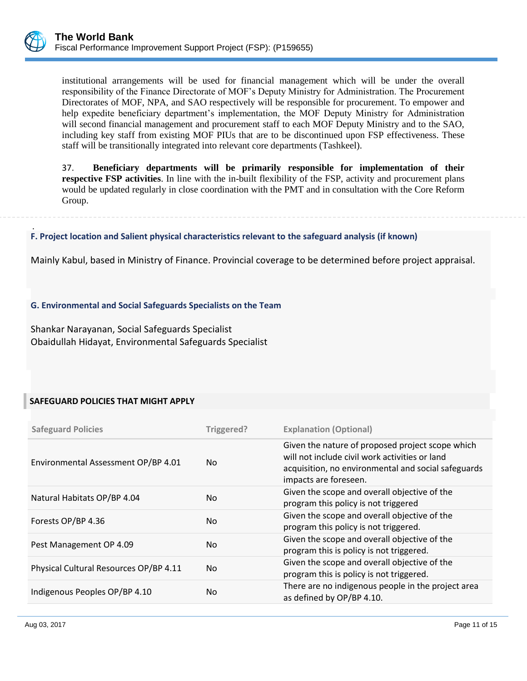

.

institutional arrangements will be used for financial management which will be under the overall responsibility of the Finance Directorate of MOF's Deputy Ministry for Administration. The Procurement Directorates of MOF, NPA, and SAO respectively will be responsible for procurement. To empower and help expedite beneficiary department's implementation, the MOF Deputy Ministry for Administration will second financial management and procurement staff to each MOF Deputy Ministry and to the SAO, including key staff from existing MOF PIUs that are to be discontinued upon FSP effectiveness. These staff will be transitionally integrated into relevant core departments (Tashkeel).

37. **Beneficiary departments will be primarily responsible for implementation of their respective FSP activities**. In line with the in-built flexibility of the FSP, activity and procurement plans would be updated regularly in close coordination with the PMT and in consultation with the Core Reform Group.

**F. Project location and Salient physical characteristics relevant to the safeguard analysis (if known)**

Mainly Kabul, based in Ministry of Finance. Provincial coverage to be determined before project appraisal.

### **G. Environmental and Social Safeguards Specialists on the Team**

Shankar Narayanan, Social Safeguards Specialist Obaidullah Hidayat, Environmental Safeguards Specialist

### **SAFEGUARD POLICIES THAT MIGHT APPLY**

| <b>Safeguard Policies</b>              | Triggered? | <b>Explanation (Optional)</b>                                                                                                                                                      |
|----------------------------------------|------------|------------------------------------------------------------------------------------------------------------------------------------------------------------------------------------|
| Environmental Assessment OP/BP 4.01    | No.        | Given the nature of proposed project scope which<br>will not include civil work activities or land<br>acquisition, no environmental and social safeguards<br>impacts are foreseen. |
| Natural Habitats OP/BP 4.04            | No.        | Given the scope and overall objective of the<br>program this policy is not triggered                                                                                               |
| Forests OP/BP 4.36                     | No.        | Given the scope and overall objective of the<br>program this policy is not triggered.                                                                                              |
| Pest Management OP 4.09                | No.        | Given the scope and overall objective of the<br>program this is policy is not triggered.                                                                                           |
| Physical Cultural Resources OP/BP 4.11 | No.        | Given the scope and overall objective of the<br>program this is policy is not triggered.                                                                                           |
| Indigenous Peoples OP/BP 4.10          | No.        | There are no indigenous people in the project area<br>as defined by OP/BP 4.10.                                                                                                    |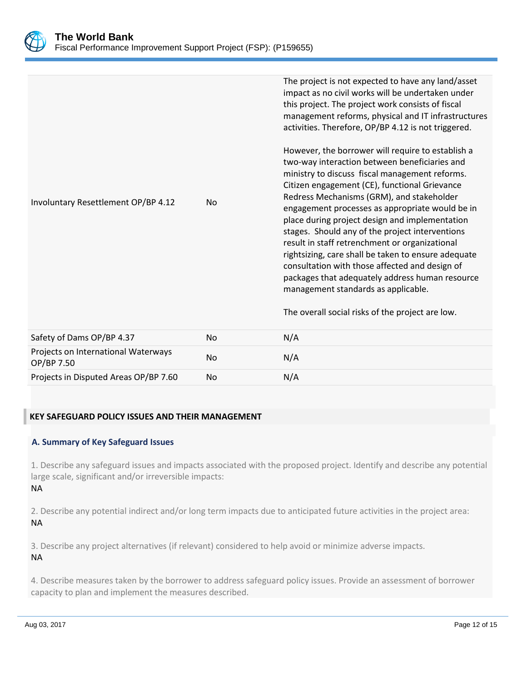

|                                     |    | $\cdots$                                                                                                                                                                                                                                                                                                                                                                                                  |
|-------------------------------------|----|-----------------------------------------------------------------------------------------------------------------------------------------------------------------------------------------------------------------------------------------------------------------------------------------------------------------------------------------------------------------------------------------------------------|
|                                     |    | The overall social risks of the project are low.                                                                                                                                                                                                                                                                                                                                                          |
| Involuntary Resettlement OP/BP 4.12 | No | engagement processes as appropriate would be in<br>place during project design and implementation<br>stages. Should any of the project interventions<br>result in staff retrenchment or organizational<br>rightsizing, care shall be taken to ensure adequate<br>consultation with those affected and design of<br>packages that adequately address human resource<br>management standards as applicable. |
|                                     |    | However, the borrower will require to establish a<br>two-way interaction between beneficiaries and<br>ministry to discuss fiscal management reforms.<br>Citizen engagement (CE), functional Grievance<br>Redress Mechanisms (GRM), and stakeholder                                                                                                                                                        |
|                                     |    | The project is not expected to have any land/asset<br>impact as no civil works will be undertaken under<br>this project. The project work consists of fiscal<br>management reforms, physical and IT infrastructures<br>activities. Therefore, OP/BP 4.12 is not triggered.                                                                                                                                |

| Safety of Dams OP/BP 4.37                         | No. | N/A |
|---------------------------------------------------|-----|-----|
| Projects on International Waterways<br>OP/BP 7.50 | No. | N/A |
| Projects in Disputed Areas OP/BP 7.60             | No. | N/A |

# **KEY SAFEGUARD POLICY ISSUES AND THEIR MANAGEMENT**

### **A. Summary of Key Safeguard Issues**

1. Describe any safeguard issues and impacts associated with the proposed project. Identify and describe any potential large scale, significant and/or irreversible impacts: NA

2. Describe any potential indirect and/or long term impacts due to anticipated future activities in the project area: NA

3. Describe any project alternatives (if relevant) considered to help avoid or minimize adverse impacts. NA

4. Describe measures taken by the borrower to address safeguard policy issues. Provide an assessment of borrower capacity to plan and implement the measures described.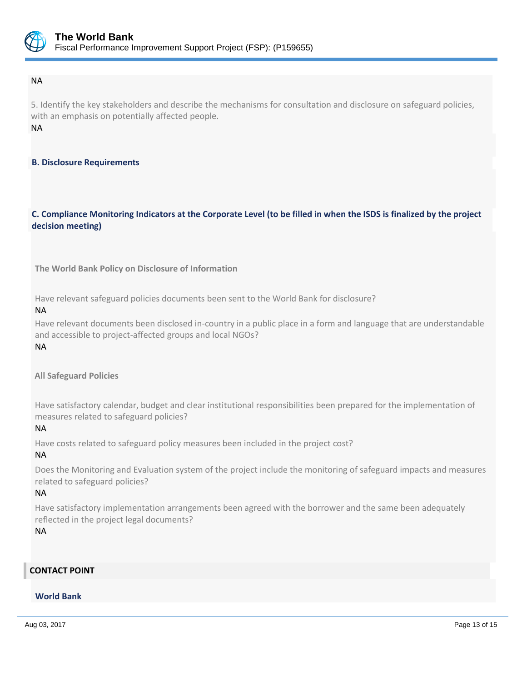

#### NA

5. Identify the key stakeholders and describe the mechanisms for consultation and disclosure on safeguard policies, with an emphasis on potentially affected people. NA

### **B. Disclosure Requirements**

## **C. Compliance Monitoring Indicators at the Corporate Level (to be filled in when the ISDS is finalized by the project decision meeting)**

**The World Bank Policy on Disclosure of Information**

Have relevant safeguard policies documents been sent to the World Bank for disclosure?

#### NA

Have relevant documents been disclosed in-country in a public place in a form and language that are understandable and accessible to project-affected groups and local NGOs?

#### NA

**All Safeguard Policies**

Have satisfactory calendar, budget and clear institutional responsibilities been prepared for the implementation of measures related to safeguard policies?

### NA

Have costs related to safeguard policy measures been included in the project cost?

### NA

Does the Monitoring and Evaluation system of the project include the monitoring of safeguard impacts and measures related to safeguard policies?

### NA

Have satisfactory implementation arrangements been agreed with the borrower and the same been adequately reflected in the project legal documents?

NA

# **CONTACT POINT**

### **World Bank**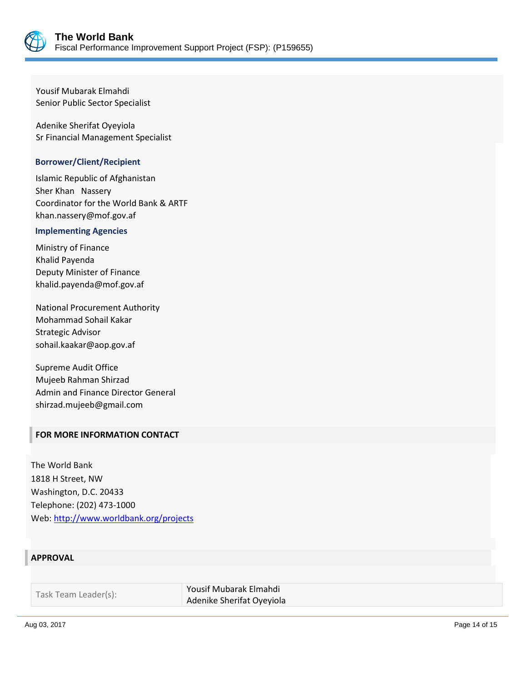

Yousif Mubarak Elmahdi Senior Public Sector Specialist

Adenike Sherifat Oyeyiola Sr Financial Management Specialist

### **Borrower/Client/Recipient**

Islamic Republic of Afghanistan Sher Khan Nassery Coordinator for the World Bank & ARTF khan.nassery@mof.gov.af

#### **Implementing Agencies**

Ministry of Finance Khalid Payenda Deputy Minister of Finance khalid.payenda@mof.gov.af

National Procurement Authority Mohammad Sohail Kakar Strategic Advisor sohail.kaakar@aop.gov.af

Supreme Audit Office Mujeeb Rahman Shirzad Admin and Finance Director General shirzad.mujeeb@gmail.com

### **FOR MORE INFORMATION CONTACT**

The World Bank 1818 H Street, NW Washington, D.C. 20433 Telephone: (202) 473-1000 Web[: http://www.worldbank.org/projects](http://www.worldbank.org/projects)

### **APPROVAL**

| Task Team Leader(s): | Yousif Mubarak Elmahdi    |
|----------------------|---------------------------|
|                      | Adenike Sherifat Oyeyiola |